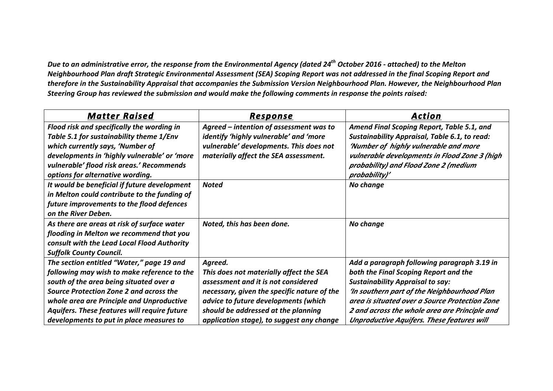*Due* to an administrative error, the response from the Environmental Agency (dated 24<sup>th</sup> October 2016 - attached) to the Melton *Neighbourhood Plan draft Strategic Environmental Assessment (SEA) Scoping Report was not addressed in the final Scoping Report and* therefore in the Sustainability Appraisal that accompanies the Submission Version Neighbourhood Plan. However, the Neighbourhood Plan Steering Group has reviewed the submission and would make the following comments in response the points raised:

| <b>Matter Raised</b>                         | Response                                    | <b>Action</b>                                        |
|----------------------------------------------|---------------------------------------------|------------------------------------------------------|
| Flood risk and specifically the wording in   | Agreed – intention of assessment was to     | Amend Final Scoping Report, Table 5.1, and           |
| Table 5.1 for sustainability theme 1/Env     | identify 'highly vulnerable' and 'more      | <b>Sustainability Appraisal, Table 6.1, to read:</b> |
| which currently says, 'Number of             | vulnerable' developments. This does not     | 'Number of highly vulnerable and more                |
| developments in 'highly vulnerable' or 'more | materially affect the SEA assessment.       | vulnerable developments in Flood Zone 3 (high        |
| vulnerable' flood risk areas.' Recommends    |                                             | probability) and Flood Zone 2 (medium                |
| options for alternative wording.             |                                             | probability)'                                        |
| It would be beneficial if future development | <b>Noted</b>                                | No change                                            |
| in Melton could contribute to the funding of |                                             |                                                      |
| future improvements to the flood defences    |                                             |                                                      |
| on the River Deben.                          |                                             |                                                      |
| As there are areas at risk of surface water  | Noted, this has been done.                  | No change                                            |
| flooding in Melton we recommend that you     |                                             |                                                      |
| consult with the Lead Local Flood Authority  |                                             |                                                      |
| <b>Suffolk County Council.</b>               |                                             |                                                      |
| The section entitled "Water," page 19 and    | Agreed.                                     | Add a paragraph following paragraph 3.19 in          |
| following may wish to make reference to the  | This does not materially affect the SEA     | both the Final Scoping Report and the                |
| south of the area being situated over a      | assessment and it is not considered         | <b>Sustainability Appraisal to say:</b>              |
| Source Protection Zone 2 and across the      | necessary, given the specific nature of the | 'In southern part of the Neighbourhood Plan          |
| whole area are Principle and Unproductive    | advice to future developments (which        | area is situated over a Source Protection Zone       |
| Aquifers. These features will require future | should be addressed at the planning         | 2 and across the whole area are Principle and        |
| developments to put in place measures to     | application stage), to suggest any change   | <b>Unproductive Aquifers. These features will</b>    |